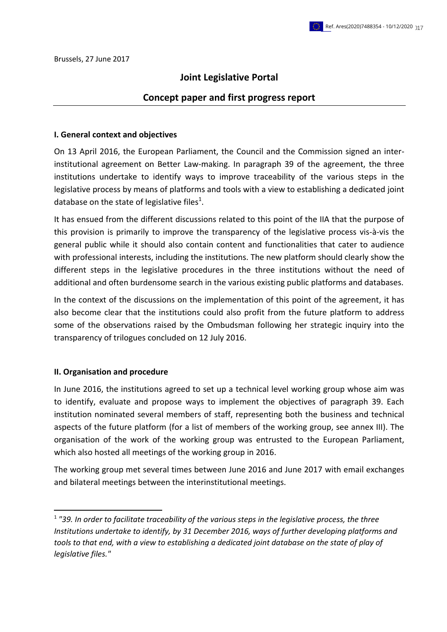## **Joint Legislative Portal**

### **Concept paper and first progress report**

#### **I. General context and objectives**

On 13 April 2016, the European Parliament, the Council and the Commission signed an interinstitutional agreement on Better Law-making. In paragraph 39 of the agreement, the three institutions undertake to identify ways to improve traceability of the various steps in the legislative process by means of platforms and tools with a view to establishing a dedicated joint database on the state of legislative files<sup>1</sup>.

It has ensued from the different discussions related to this point of the IIA that the purpose of this provision is primarily to improve the transparency of the legislative process vis-à-vis the general public while it should also contain content and functionalities that cater to audience with professional interests, including the institutions. The new platform should clearly show the different steps in the legislative procedures in the three institutions without the need of additional and often burdensome search in the various existing public platforms and databases.

In the context of the discussions on the implementation of this point of the agreement, it has also become clear that the institutions could also profit from the future platform to address some of the observations raised by the Ombudsman following her strategic inquiry into the transparency of trilogues concluded on 12 July 2016.

#### **II. Organisation and procedure**

1

In June 2016, the institutions agreed to set up a technical level working group whose aim was to identify, evaluate and propose ways to implement the objectives of paragraph 39. Each institution nominated several members of staff, representing both the business and technical aspects of the future platform (for a list of members of the working group, see annex III). The organisation of the work of the working group was entrusted to the European Parliament, which also hosted all meetings of the working group in 2016.

The working group met several times between June 2016 and June 2017 with email exchanges and bilateral meetings between the interinstitutional meetings.

<sup>1</sup> *"39. In order to facilitate traceability of the various steps in the legislative process, the three Institutions undertake to identify, by 31 December 2016, ways of further developing platforms and tools to that end, with a view to establishing a dedicated joint database on the state of play of legislative files."*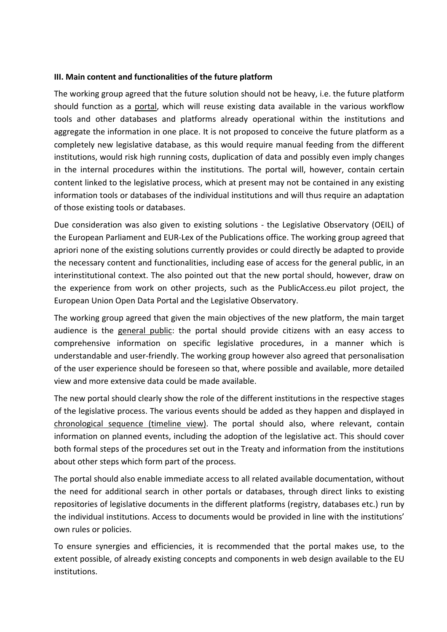### **III. Main content and functionalities of the future platform**

The working group agreed that the future solution should not be heavy, i.e. the future platform should function as a portal, which will reuse existing data available in the various workflow tools and other databases and platforms already operational within the institutions and aggregate the information in one place. It is not proposed to conceive the future platform as a completely new legislative database, as this would require manual feeding from the different institutions, would risk high running costs, duplication of data and possibly even imply changes in the internal procedures within the institutions. The portal will, however, contain certain content linked to the legislative process, which at present may not be contained in any existing information tools or databases of the individual institutions and will thus require an adaptation of those existing tools or databases.

Due consideration was also given to existing solutions - the Legislative Observatory (OEIL) of the European Parliament and EUR-Lex of the Publications office. The working group agreed that apriori none of the existing solutions currently provides or could directly be adapted to provide the necessary content and functionalities, including ease of access for the general public, in an interinstitutional context. The also pointed out that the new portal should, however, draw on the experience from work on other projects, such as the PublicAccess.eu pilot project, the European Union Open Data Portal and the Legislative Observatory.

The working group agreed that given the main objectives of the new platform, the main target audience is the general public: the portal should provide citizens with an easy access to comprehensive information on specific legislative procedures, in a manner which is understandable and user-friendly. The working group however also agreed that personalisation of the user experience should be foreseen so that, where possible and available, more detailed view and more extensive data could be made available.

The new portal should clearly show the role of the different institutions in the respective stages of the legislative process. The various events should be added as they happen and displayed in chronological sequence (timeline view). The portal should also, where relevant, contain information on planned events, including the adoption of the legislative act. This should cover both formal steps of the procedures set out in the Treaty and information from the institutions about other steps which form part of the process.

The portal should also enable immediate access to all related available documentation, without the need for additional search in other portals or databases, through direct links to existing repositories of legislative documents in the different platforms (registry, databases etc.) run by the individual institutions. Access to documents would be provided in line with the institutions' own rules or policies.

To ensure synergies and efficiencies, it is recommended that the portal makes use, to the extent possible, of already existing concepts and components in web design available to the EU institutions.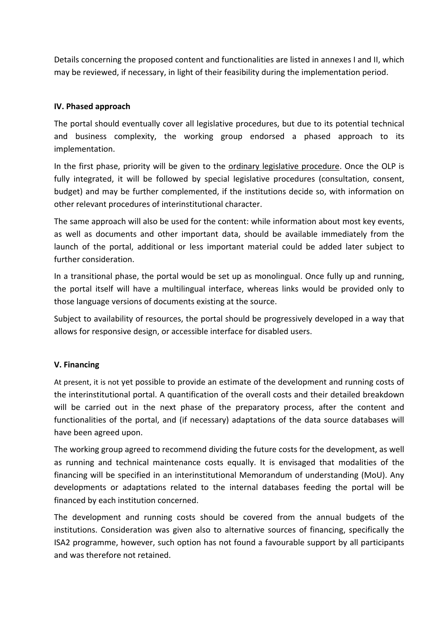Details concerning the proposed content and functionalities are listed in annexes I and II, which may be reviewed, if necessary, in light of their feasibility during the implementation period.

## **IV. Phased approach**

The portal should eventually cover all legislative procedures, but due to its potential technical and business complexity, the working group endorsed a phased approach to its implementation.

In the first phase, priority will be given to the ordinary legislative procedure. Once the OLP is fully integrated, it will be followed by special legislative procedures (consultation, consent, budget) and may be further complemented, if the institutions decide so, with information on other relevant procedures of interinstitutional character.

The same approach will also be used for the content: while information about most key events, as well as documents and other important data, should be available immediately from the launch of the portal, additional or less important material could be added later subject to further consideration.

In a transitional phase, the portal would be set up as monolingual. Once fully up and running, the portal itself will have a multilingual interface, whereas links would be provided only to those language versions of documents existing at the source.

Subject to availability of resources, the portal should be progressively developed in a way that allows for responsive design, or accessible interface for disabled users.

### **V. Financing**

At present, it is not yet possible to provide an estimate of the development and running costs of the interinstitutional portal. A quantification of the overall costs and their detailed breakdown will be carried out in the next phase of the preparatory process, after the content and functionalities of the portal, and (if necessary) adaptations of the data source databases will have been agreed upon.

The working group agreed to recommend dividing the future costs for the development, as well as running and technical maintenance costs equally. It is envisaged that modalities of the financing will be specified in an interinstitutional Memorandum of understanding (MoU). Any developments or adaptations related to the internal databases feeding the portal will be financed by each institution concerned.

The development and running costs should be covered from the annual budgets of the institutions. Consideration was given also to alternative sources of financing, specifically the ISA2 programme, however, such option has not found a favourable support by all participants and was therefore not retained.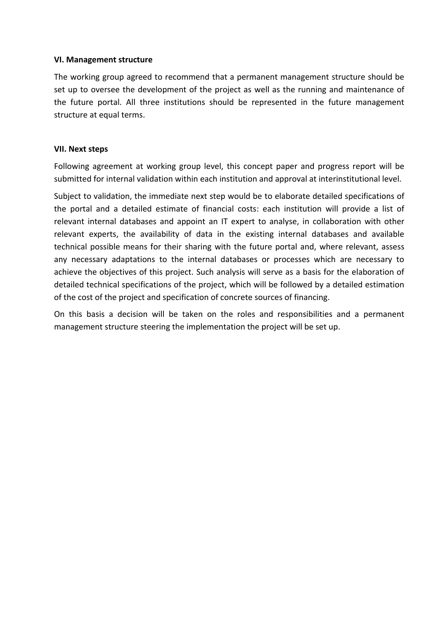### **VI. Management structure**

The working group agreed to recommend that a permanent management structure should be set up to oversee the development of the project as well as the running and maintenance of the future portal. All three institutions should be represented in the future management structure at equal terms.

### **VII. Next steps**

Following agreement at working group level, this concept paper and progress report will be submitted for internal validation within each institution and approval at interinstitutional level.

Subject to validation, the immediate next step would be to elaborate detailed specifications of the portal and a detailed estimate of financial costs: each institution will provide a list of relevant internal databases and appoint an IT expert to analyse, in collaboration with other relevant experts, the availability of data in the existing internal databases and available technical possible means for their sharing with the future portal and, where relevant, assess any necessary adaptations to the internal databases or processes which are necessary to achieve the objectives of this project. Such analysis will serve as a basis for the elaboration of detailed technical specifications of the project, which will be followed by a detailed estimation of the cost of the project and specification of concrete sources of financing.

On this basis a decision will be taken on the roles and responsibilities and a permanent management structure steering the implementation the project will be set up.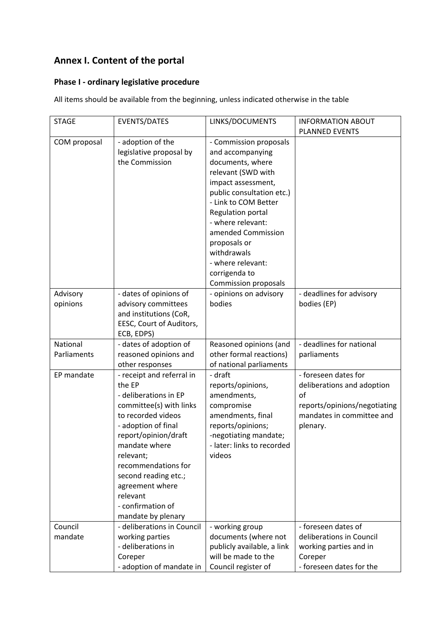# **Annex I. Content of the portal**

## **Phase I - ordinary legislative procedure**

All items should be available from the beginning, unless indicated otherwise in the table

| <b>STAGE</b> | <b>EVENTS/DATES</b>        | LINKS/DOCUMENTS             | <b>INFORMATION ABOUT</b><br><b>PLANNED EVENTS</b> |
|--------------|----------------------------|-----------------------------|---------------------------------------------------|
|              |                            |                             |                                                   |
| COM proposal | - adoption of the          | - Commission proposals      |                                                   |
|              | legislative proposal by    | and accompanying            |                                                   |
|              | the Commission             | documents, where            |                                                   |
|              |                            | relevant (SWD with          |                                                   |
|              |                            | impact assessment,          |                                                   |
|              |                            | public consultation etc.)   |                                                   |
|              |                            | - Link to COM Better        |                                                   |
|              |                            | Regulation portal           |                                                   |
|              |                            | - where relevant:           |                                                   |
|              |                            | amended Commission          |                                                   |
|              |                            | proposals or                |                                                   |
|              |                            | withdrawals                 |                                                   |
|              |                            | - where relevant:           |                                                   |
|              |                            | corrigenda to               |                                                   |
|              |                            | <b>Commission proposals</b> |                                                   |
| Advisory     | - dates of opinions of     | - opinions on advisory      | - deadlines for advisory                          |
| opinions     | advisory committees        | bodies                      | bodies (EP)                                       |
|              | and institutions (CoR,     |                             |                                                   |
|              | EESC, Court of Auditors,   |                             |                                                   |
|              | ECB, EDPS)                 |                             |                                                   |
| National     | - dates of adoption of     | Reasoned opinions (and      | - deadlines for national                          |
| Parliaments  | reasoned opinions and      | other formal reactions)     | parliaments                                       |
|              | other responses            | of national parliaments     |                                                   |
| EP mandate   | - receipt and referral in  | - draft                     | - foreseen dates for                              |
|              | the EP                     | reports/opinions,           | deliberations and adoption                        |
|              | - deliberations in EP      | amendments,                 | of                                                |
|              | committee(s) with links    | compromise                  | reports/opinions/negotiating                      |
|              | to recorded videos         | amendments, final           | mandates in committee and                         |
|              | - adoption of final        | reports/opinions;           | plenary.                                          |
|              | report/opinion/draft       | -negotiating mandate;       |                                                   |
|              | mandate where              | - later: links to recorded  |                                                   |
|              | relevant;                  | videos                      |                                                   |
|              | recommendations for        |                             |                                                   |
|              | second reading etc.;       |                             |                                                   |
|              | agreement where            |                             |                                                   |
|              | relevant                   |                             |                                                   |
|              | - confirmation of          |                             |                                                   |
|              | mandate by plenary         |                             |                                                   |
| Council      | - deliberations in Council | - working group             | - foreseen dates of                               |
| mandate      | working parties            | documents (where not        | deliberations in Council                          |
|              | - deliberations in         | publicly available, a link  | working parties and in                            |
|              | Coreper                    | will be made to the         | Coreper                                           |
|              | - adoption of mandate in   | Council register of         | - foreseen dates for the                          |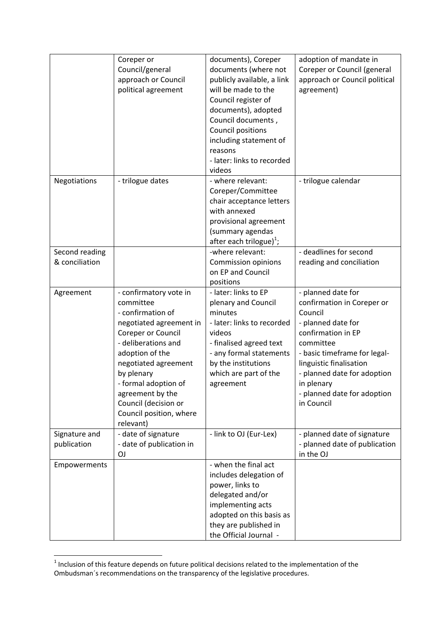|                | Coreper or               | documents), Coreper                 | adoption of mandate in        |
|----------------|--------------------------|-------------------------------------|-------------------------------|
|                | Council/general          | documents (where not                | Coreper or Council (general   |
|                | approach or Council      | publicly available, a link          | approach or Council political |
|                | political agreement      | will be made to the                 | agreement)                    |
|                |                          |                                     |                               |
|                |                          | Council register of                 |                               |
|                |                          | documents), adopted                 |                               |
|                |                          | Council documents,                  |                               |
|                |                          | <b>Council positions</b>            |                               |
|                |                          | including statement of              |                               |
|                |                          | reasons                             |                               |
|                |                          | - later: links to recorded          |                               |
|                |                          | videos                              |                               |
| Negotiations   | - trilogue dates         | - where relevant:                   | - trilogue calendar           |
|                |                          |                                     |                               |
|                |                          | Coreper/Committee                   |                               |
|                |                          | chair acceptance letters            |                               |
|                |                          | with annexed                        |                               |
|                |                          | provisional agreement               |                               |
|                |                          | (summary agendas                    |                               |
|                |                          | after each trilogue) <sup>1</sup> ; |                               |
| Second reading |                          | -where relevant:                    | - deadlines for second        |
| & conciliation |                          | <b>Commission opinions</b>          | reading and conciliation      |
|                |                          | on EP and Council                   |                               |
|                |                          | positions                           |                               |
|                |                          |                                     |                               |
| Agreement      | - confirmatory vote in   | - later: links to EP                | - planned date for            |
|                | committee                | plenary and Council                 | confirmation in Coreper or    |
|                | - confirmation of        | minutes                             | Council                       |
|                | negotiated agreement in  | - later: links to recorded          | - planned date for            |
|                | Coreper or Council       | videos                              | confirmation in EP            |
|                | - deliberations and      | - finalised agreed text             | committee                     |
|                | adoption of the          | - any formal statements             | - basic timeframe for legal-  |
|                | negotiated agreement     | by the institutions                 | linguistic finalisation       |
|                | by plenary               | which are part of the               | - planned date for adoption   |
|                |                          |                                     |                               |
|                | - formal adoption of     | agreement                           | in plenary                    |
|                | agreement by the         |                                     | - planned date for adoption   |
|                | Council (decision or     |                                     | in Council                    |
|                | Council position, where  |                                     |                               |
|                | relevant)                |                                     |                               |
| Signature and  | - date of signature      | - link to OJ (Eur-Lex)              | - planned date of signature   |
| publication    | - date of publication in |                                     | - planned date of publication |
|                | ΟJ                       |                                     | in the OJ                     |
| Empowerments   |                          | - when the final act                |                               |
|                |                          | includes delegation of              |                               |
|                |                          | power, links to                     |                               |
|                |                          |                                     |                               |
|                |                          | delegated and/or                    |                               |
|                |                          | implementing acts                   |                               |
|                |                          | adopted on this basis as            |                               |
|                |                          | they are published in               |                               |
|                |                          | the Official Journal -              |                               |

 1 Inclusion of this feature depends on future political decisions related to the implementation of the Ombudsman´s recommendations on the transparency of the legislative procedures.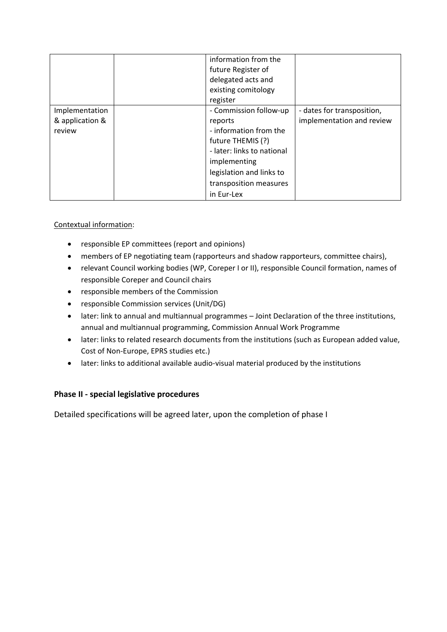|                                             | information from the<br>future Register of<br>delegated acts and<br>existing comitology<br>register                                                                                                |                                                         |
|---------------------------------------------|----------------------------------------------------------------------------------------------------------------------------------------------------------------------------------------------------|---------------------------------------------------------|
| Implementation<br>& application &<br>review | - Commission follow-up<br>reports<br>- information from the<br>future THEMIS (?)<br>- later: links to national<br>implementing<br>legislation and links to<br>transposition measures<br>in Eur-Lex | - dates for transposition,<br>implementation and review |

## Contextual information:

- responsible EP committees (report and opinions)
- members of EP negotiating team (rapporteurs and shadow rapporteurs, committee chairs),
- relevant Council working bodies (WP, Coreper I or II), responsible Council formation, names of responsible Coreper and Council chairs
- responsible members of the Commission
- responsible Commission services (Unit/DG)
- later: link to annual and multiannual programmes Joint Declaration of the three institutions, annual and multiannual programming, Commission Annual Work Programme
- later: links to related research documents from the institutions (such as European added value, Cost of Non-Europe, EPRS studies etc.)
- later: links to additional available audio-visual material produced by the institutions

## **Phase II - special legislative procedures**

Detailed specifications will be agreed later, upon the completion of phase I